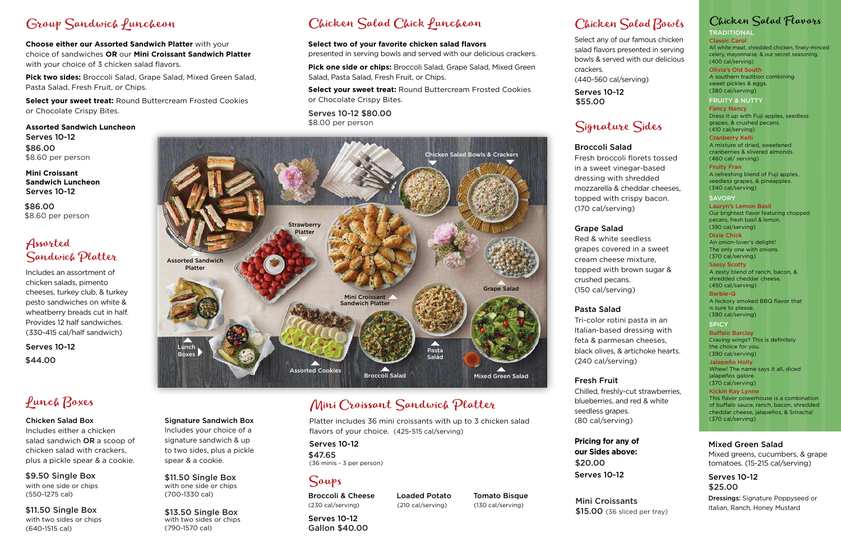

# Group Sandwich Puncheon

**Choose either our Assorted Sandwich Platter** with your choice of sandwiches **OR** our **Mini Croissant Sandwich Platter**  with your choice of 3 chicken salad flavors.

> Serves 10-12 (36 minis - 3 per person) \$47.65

Serves 10-12 Gallon \$40.00

**Pick two sides:** Broccoli Salad, Grape Salad, Mixed Green Salad, Pasta Salad, Fresh Fruit, or Chips.

> to two sides, plus a pickle spear & a cookie. \$11.50 Single Box

with two sides or chips (790-1570 cal) \$13.50 Single Box

# Mini Croissant Sandwich Platter

**Select your sweet treat:** Round Buttercream Frosted Cookies or Chocolate Crispy Bites.

## **Assorted Sandwich Luncheon** Serves 10-12 \$86,00 \$8.60 per person

## Assorted Sandwich Platter

Platter includes 36 mini croissants with up to 3 chicken salad flavors of your choice. (425-515 cal/serving)

Serves 10-12 \$44.00

# Soups

with one side or chips (550-1275 cal) \$9.50 Single Box

Loaded Potato Tomato Bisque (210 cal/serving) (130 cal/serving)

**Mini Croissants** 

 $$20.00$ 

#### with two sides or chips (640-1515 cal) \$11.50 Single Box

Broccoli & Cheese (230 cal/serving)

Serves 10-12 \$55,00

Signature Sandwich Box Includes your choice of a signature sandwich & up

with one side or chips (700-1330 cal)

**Mini Croissant Sandwich Luncheon** Serves 10-12

\$86,00 \$8.60 per person

Includes an assortment of chicken salads, pimento cheeses, turkey club, & turkey pesto sandwiches on white & wheatberry breads cut in half. Provides 12 half sandwiches. (330-415 cal/half sandwich)

**TRADITIONAL** Classic Carol All white meat, shredded chicken, finely-minced celery, mayonnaise, & our secret seasoning. (400 cal/serving)

# Lunch Boxes

#### Chicken Salad Box

Includes either a chicken salad sandwich OR a scoop of chicken salad with crackers, plus a pickle spear & a cookie.

**SAVORY** Lauryn's Lemon Basil Our brightest flavor featuring chopped pecans, fresh basil & lemon. (390 cal/serving)

## Chicken Salad Bowls

Select any of our famous chicken salad flavors presented in serving bowls & served with our delicious crackers. (440-560 cal/serving)

> **Buffalo Barclay** Craving wings? This is definitely the choice for you. (390 cal/serving)

# Signature Sides

Serves 10-12 \$25,00

Broccoli Salad Fresh broccoli florets tossed in a sweet vinegar-based dressing with shredded mozzarella & cheddar cheeses, topped with crispy bacon. (170 cal/serving)

## Grape Salad

grapes covered in a sweet topped with brown sugar &

Red & white seedless cream cheese mixture, crushed pecans. (150 cal/serving)

## Pasta Salad

Tri-color rotini pasta in an Italian-based dressing with feta & parmesan cheeses, black olives, & artichoke hearts. (240 cal/serving)

## Fresh Fruit

Chilled, freshly-cut strawberries, blueberries, and red & white seedless grapes. (80 cal/serving)

**Pricing for any of our Sides above:**

Serves 10-12

\$15.00 (36 sliced per tray)

# Chicken Salad Flavors

Olivia's Old South A southern tradition combining sweet pickles & eggs. (380 cal/serving)

FRUITY & NUTTY Fancy Nancy Dress it up with Fuji apples, seedless grapes, & crushed pecans. (410 cal/serving)

Cranberry Kelli A mixture of dried, sweetened cranberries & slivered almonds. (460 cal/ serving)

Fruity Fran A refreshing blend of Fuji apples, seedless grapes, & pineapples. (340 cal/serving)

Dixie Chick An onion-lover's delight! The only one with onions. (370 cal/serving)

Sassy Scotty A zesty blend of ranch, bacon, & shredded cheddar cheese. (450 cal/serving)

Barbie-Q A hickory smoked BBQ flavor that is sure to please. (390 cal/serving)

#### **SPICY**

Jalapeño Holly Whew! The name says it all, diced jalapeños galore. (370 cal/serving)

Kickin Kay Lynne This flavor powerhouse is a combination of buffalo sauce, ranch, bacon, shredded cheddar cheese, jalapeños, & Sriracha! (370 cal/serving)

### Mixed Green Salad

Mixed greens, cucumbers, & grape tomatoes. (15-215 cal/serving)

Dressings: Signature Poppyseed or Italian, Ranch, Honey Mustard

Chicken Salad Chick Luncheon

#### **Select two of your favorite chicken salad flavors**

presented in serving bowls and served with our delicious crackers.

**Pick one side or chips:** Broccoli Salad, Grape Salad, Mixed Green Salad, Pasta Salad, Fresh Fruit, or Chips.

**Select your sweet treat:** Round Buttercream Frosted Cookies or Chocolate Crispy Bites.

Serves 10-12 \$80.00 \$8.00 per person